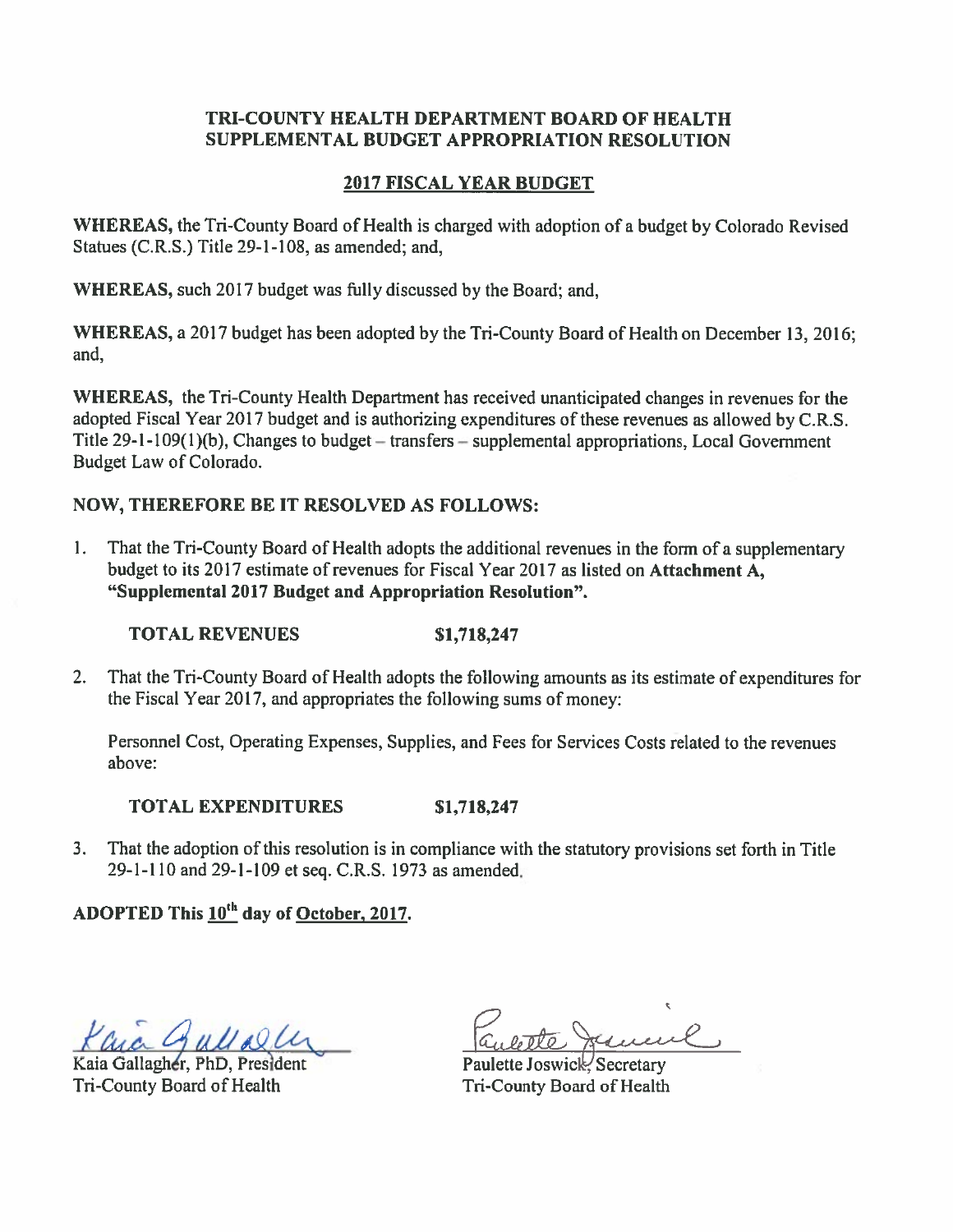### **TRI-COUNTY HEALTH DEPARTMENT BOARD OF HEALTH** SUPPLEMENTAL BUDGET APPROPRIATION RESOLUTION

## **2017 FISCAL YEAR BUDGET**

WHEREAS, the Tri-County Board of Health is charged with adoption of a budget by Colorado Revised Statues (C.R.S.) Title 29-1-108, as amended; and.

WHEREAS, such 2017 budget was fully discussed by the Board; and.

WHEREAS, a 2017 budget has been adopted by the Tri-County Board of Health on December 13, 2016; and.

WHEREAS, the Tri-County Health Department has received unanticipated changes in revenues for the adopted Fiscal Year 2017 budget and is authorizing expenditures of these revenues as allowed by C.R.S. Title 29-1-109(1)(b), Changes to budget – transfers – supplemental appropriations, Local Government Budget Law of Colorado.

# **NOW, THEREFORE BE IT RESOLVED AS FOLLOWS:**

That the Tri-County Board of Health adopts the additional revenues in the form of a supplementary  $1.$ budget to its 2017 estimate of revenues for Fiscal Year 2017 as listed on Attachment A. "Supplemental 2017 Budget and Appropriation Resolution".

**TOTAL REVENUES** \$1,718,247

 $2.$ That the Tri-County Board of Health adopts the following amounts as its estimate of expenditures for the Fiscal Year 2017, and appropriates the following sums of money:

Personnel Cost, Operating Expenses, Supplies, and Fees for Services Costs related to the revenues above:

#### **TOTAL EXPENDITURES** \$1,718,247

3. That the adoption of this resolution is in compliance with the statutory provisions set forth in Title 29-1-110 and 29-1-109 et seq. C.R.S. 1973 as amended.

# ADOPTED This 10<sup>th</sup> day of October, 2017.

Min Gullally

Kaia Gallagher, PhD, President Tri-County Board of Health

Paulette Joswick Secretary Tri-County Board of Health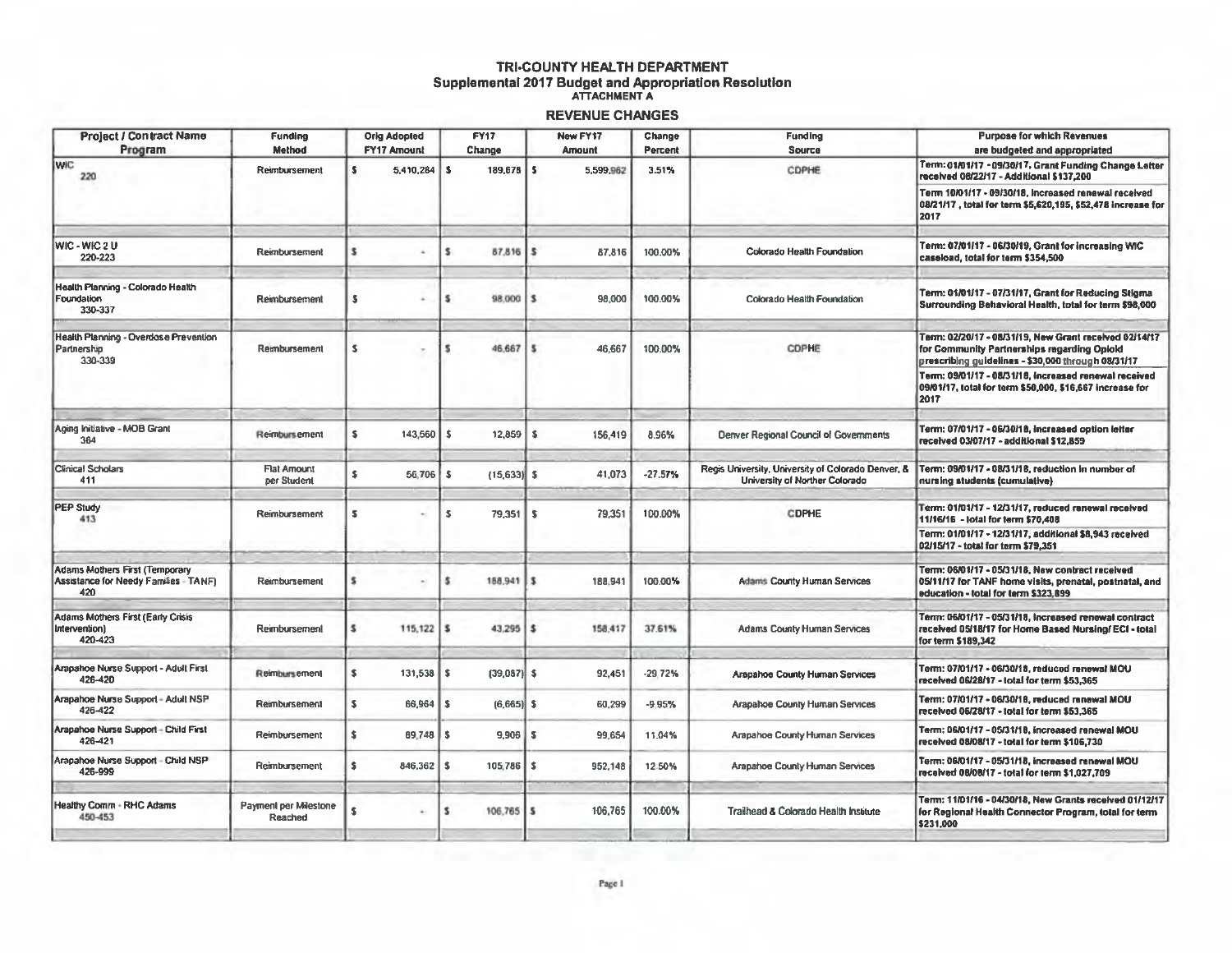# TRI-COUNTY HEALTH DEPARTMENT Supplemental 2017 Budget and Appropriation Resolution

### **REVENUE CHANGES**

| <b>Project / Contract Name</b>                                                        | <b>Funding</b>                    | <b>Orig Adopted</b>    |    | <b>FY17</b>    |     | New FY17      | Change    | <b>Funding</b>                                                                       | <b>Purpose for which Revenues</b>                                                                                                                           |
|---------------------------------------------------------------------------------------|-----------------------------------|------------------------|----|----------------|-----|---------------|-----------|--------------------------------------------------------------------------------------|-------------------------------------------------------------------------------------------------------------------------------------------------------------|
| Program                                                                               | <b>Method</b>                     | FY17 Amount            |    | Change         |     | <b>Amount</b> | Percent   | Source                                                                               | are budgeted and appropriated                                                                                                                               |
| <b>WIC</b><br>220                                                                     | Reimbursement                     | s<br>5,410,284         | s  | 189,678 \$     |     | 5,599,962     | 3.51%     | CDPHE                                                                                | Term: 01/01/17 - 09/30/17, Grant Funding Change Letter<br>received 08/22/17 - Additional \$137,200                                                          |
|                                                                                       |                                   |                        |    |                |     |               |           |                                                                                      | Term 10/01/17 - 09/30/18, increased renewal received<br>08/21/17, total for term \$5,620,195, \$52,478 increase for<br>2017                                 |
| <b>WIC-WIC2U</b><br>220-223                                                           | Reimbursement                     |                        | s  | 87,816         |     | 87,816        | 100.00%   | Colorado Health Foundation                                                           | Term: 07/01/17 - 06/30/19, Grant for increasing WIC<br>caseload, total for term \$354,500                                                                   |
| Health Planning - Colorado Health<br>Foundation<br>330-337                            | Reimbursement                     |                        |    | 98,000         |     | 98,000        | 100.00%   | Colorado Health Foundation                                                           | Term: 01/01/17 - 07/31/17, Grant for Reducing Stigma<br>Surrounding Behavioral Health, total for term \$98,000                                              |
| Health Planning - Overdose Prevention<br>Partnership<br>330-339                       | Rembursement                      | s<br>$\tau$            |    | 46.667         |     | 46,667        | 100.00%   | CDPHE                                                                                | Term: 02/20/17 - 08/31/19. New Grant received 02/14/17<br>for Community Partnerships regarding Opioid<br>prescribing guidelines - \$30,000 through 08/31/17 |
|                                                                                       |                                   |                        |    |                |     |               |           |                                                                                      | Term: 09/01/17 - 08/31/16, increased renewal received<br>09/01/17, total for term \$50,000, \$16,667 increase for<br> 2017                                  |
| Aging Initiative - MOB Grant<br>364                                                   | Reimbursement                     | s<br>143,560           | s  | 12,859         | l S | 156.419       | 8.96%     | Denver Regional Council of Governments                                               | Term: 07/01/17 - 06/30/18, increased option letter<br>received 03/07/17 - additional \$12,859                                                               |
| Clinical Scholars<br>411                                                              | <b>Flat Amount</b><br>per Student | s.<br>56,706           | -5 | $(15, 633)$ \$ |     | 41,073        | $-27.57%$ | Regis University, University of Colorado Denver, &<br>University of Norther Colorado | Term: 09/01/17 - 08/31/18, reduction in number of<br>nursing students (cumulative)                                                                          |
| PEP Study<br>413                                                                      | Reimbursement                     | s                      | s  | 79.351         | l s | 79,351        | 100.00%   | <b>CDPHE</b>                                                                         | Term: 01/01/17 - 12/31/17, reduced renewal received<br>11/16/16 - total for term \$70,408<br>Term: 01/01/17 - 12/31/17, additional \$8,943 received         |
|                                                                                       |                                   |                        |    |                |     |               |           |                                                                                      | 02/15/17 - total for term \$79,351                                                                                                                          |
| <b>Adams Mothers First (Temporary</b><br>Assistance for Needy Families - TANF)<br>420 | Reimbursement                     |                        | s  | 188,941        | 13  | 188,941       | 100.00%   | <b>Adams County Human Services</b>                                                   | Term: 06/01/17 - 05/31/18, New contract received<br>05/11/17 for TANF home visits, prenatal, postnatal, and<br>education - total for term \$323,899         |
| Adams Mothers First (Early Crisis<br>Intervention)<br>420-423                         | Reimbursement                     | 115,122<br>5           | s  | $43.295$   \$  |     | 158,417       | 37.61%    | <b>Adams County Human Services</b>                                                   | Term: 06/01/17 - 05/31/18, Increased renewal contract<br>received 05/18/17 for Home Based Nursing/ ECI - total<br>for term \$189,342                        |
| Arapahoe Nurse Support - Adult First<br>426-420                                       | Reimbursement                     | \$<br>131,538          | s  | $(39,087)$ \$  |     | 92,451        | $-29.72%$ | <b>Arapahoe County Human Services</b>                                                | Term: 07/01/17 - 06/30/18, reduced renewal MOU<br>received 06/28/17 - total for term \$53,365                                                               |
| Arapahoe Nurse Support - Adult NSP<br>426-422                                         | Reimbursement                     | $\mathbf{s}$<br>66,964 | s  | $(6,665)$ \$   |     | 60,299        | $-9.95%$  | Arapahoe County Human Services                                                       | Term: 07/01/17 - 06/30/18, reduced renewal MOU<br>received 06/28/17 - total for term \$53.365                                                               |
| Arapahoe Nurse Support - Child First<br>426-421                                       | Reimbursement                     | \$<br>89.748           | s  | 9,906          | 15  | 99,654        | 11.04%    | <b>Arapahoe County Human Services</b>                                                | Term: 06/01/17 - 05/31/18, increased renewal MOU<br>received 08/08/17 - total for term \$106,730                                                            |
| Arapahoe Nurse Support - Child NSP<br>426-999                                         | Reimbursement                     | s<br>846,362           | s  | 105.786        | l S | 952,148       | 12.50%    | Arapahoe County Human Services                                                       | Term: 06/01/17 - 05/31/18, increased renewal MOU<br>received 08/08/17 - total for term \$1,027,709                                                          |
| <b>Healthy Comm - RHC Adams</b><br>450-453                                            | Payment per Milestone<br>Reached  | s                      | s  | 106.765        |     | 106,765       | 100.00%   | Trailhead & Colorado Health Institute                                                | Term: 11/01/16 - 04/30/18, New Grants received 01/12/17<br>for Regional Health Connector Program, total for term<br>\$231,000                               |
|                                                                                       |                                   |                        |    |                |     |               |           |                                                                                      |                                                                                                                                                             |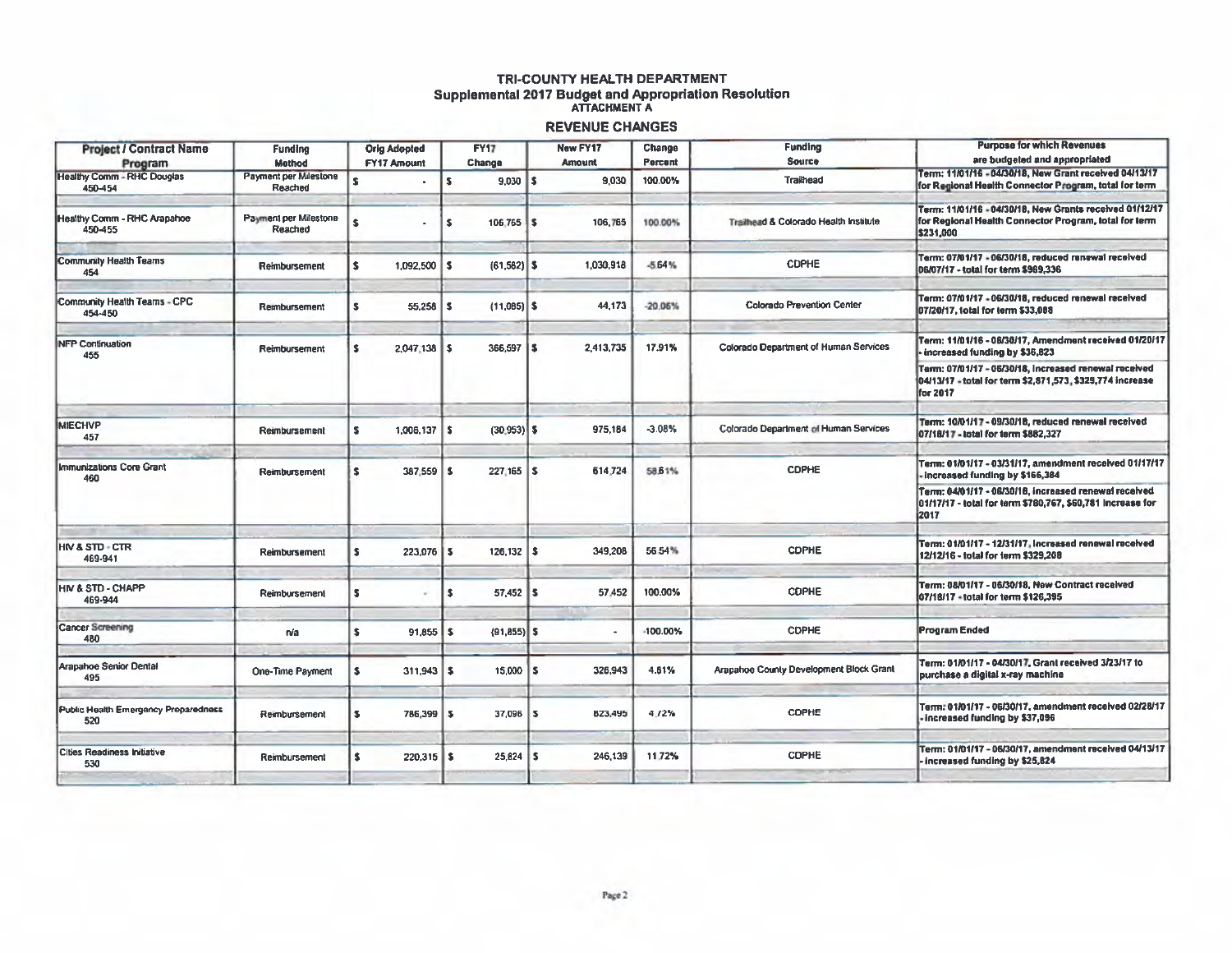## TRI-COUNTY HEALTH DEPARTMENT Supplemental 2017 Budget and Appropriation Resolution **REVENUE CHANGES**

| <b>Project / Contract Name</b><br>Program    | <b>Funding</b><br><b>Method</b>         | <b>Orig Adopted</b><br><b>FY17 Amount</b> | <b>FY17</b><br>Change          | <b>New FY17</b><br><b>Amount</b> | Change<br>Percent | <b>Funding</b><br>Source                     | <b>Purpose for which Revenues</b><br>are budgeted and appropriated                                                                                                                                                        |
|----------------------------------------------|-----------------------------------------|-------------------------------------------|--------------------------------|----------------------------------|-------------------|----------------------------------------------|---------------------------------------------------------------------------------------------------------------------------------------------------------------------------------------------------------------------------|
| <b>Healthy Comm - RHC Douglas</b><br>450-454 | <b>Payment per Milestone</b><br>Reached | s                                         | $9,030$ \$<br>ŝ.               | 9,030                            | 100.00%           | <b>Trailhead</b>                             | Term: 11/01/16 - 04/30/18, New Grant received 04/13/17<br>for Regional Health Connector Program, total for term                                                                                                           |
| Healthy Comm - RHC Arapahoe<br>450-455       | Payment per Milestone<br>Reached        | s                                         | Ś<br>$106.765$ S               | 106,765                          | 100.00%           | Trailhead & Colorado Health Institute        | Term: 11/01/16 - 04/30/18, New Grants received 01/12/17<br>for Regional Health Connector Program, total for term<br>\$231,000                                                                                             |
| Community Health Teams<br>454                | Reimbursement                           | s<br>1,092,500                            | $\mathbf{s}$<br>$(61, 582)$ \$ | 1,030,918                        | $-5.64%$          | <b>CDPHE</b>                                 | Term: 07/01/17 - 06/30/18, reduced renewal received<br>06/07/17 - total for term \$969,336                                                                                                                                |
| Community Health Teams - CPC<br>454-450      | Rembursement                            | 55,258<br>5                               | $(11,085)$ \$<br>s             | 44,173                           | $-20.06%$         | <b>Colorado Prevention Center</b>            | Term: 07/01/17 - 06/30/18, reduced renewal received<br>07/20/17, total for term \$33,088                                                                                                                                  |
| <b>NFP Continuation</b><br>455               | Reimbursement                           | $2.047.138$ S<br>s                        | 366,597   \$                   | 2,413,735                        | 17.91%            | <b>Colorado Department of Human Services</b> | Term: 11/01/16 - 06/30/17, Amendment received 01/20/17<br>- increased funding by \$36,823                                                                                                                                 |
|                                              |                                         |                                           |                                |                                  |                   |                                              | Term: 07/01/17 - 06/30/18, increased renewal received<br>04/13/17 - total for term \$2,871,573, \$329,774 increase<br>for 2017                                                                                            |
| <b>MIECHVP</b><br>457                        | Reimbursement                           | $1,006,137$   \$<br>s                     | $(30.953)$ \$                  | 975,184                          | $-3.08%$          | <b>Colorado Department of Human Services</b> | Term: 10/01/17 - 09/30/18, reduced renewal received<br>07/18/17 - total for term \$882,327                                                                                                                                |
| <b>Immunizations Core Grant</b><br>460       | Reimbursement                           | $387.559$ $\vert$ \$<br>ls.               | $227.165$ S                    | 614,724                          | 58.61%            | <b>CDPHE</b>                                 | Term: 01/01/17 - 03/31/17, amendment received 01/17/17<br>- Increased funding by \$166,384<br>Term: 04/01/17 - 06/30/18, increased renewal received<br>01/17/17 - total for term \$780,767, \$60,781 Increase for<br>2017 |
| <b>HIV &amp; STD - CTR</b><br>469-941        | Reimbursement                           | 223,076<br>5                              | $126, 132$   \$<br>s           | 349,208                          | 56.54%            | <b>CDPHE</b>                                 | Term: 01/01/17 - 12/31/17, Increased renewal received<br>12/12/16 - total for term \$329,208                                                                                                                              |
| <b>HIV &amp; STD - CHAPP</b><br>469-944      | Reimbursement                           | 5                                         | $57,452$ \$<br>s               | 57.452                           | 100.00%           | <b>CDPHE</b>                                 | Term: 08/01/17 - 06/30/18, New Contract received<br>07/18/17 - total for term \$126,395                                                                                                                                   |
| <b>Cancer Screening</b><br>480               | n/a                                     | 91,855<br>s                               | $(91, 855)$ \$<br>5            |                                  | -100.00%          | <b>CDPHE</b>                                 | Program Ended                                                                                                                                                                                                             |
| Arapahoe Senior Dental<br>495                | <b>One-Time Payment</b>                 | 311,943<br>s                              | 15,000<br>\$                   | 326,943<br>l S                   | 4.61%             | Arapahoe County Development Block Grant      | Term: 01/01/17 - 04/30/17, Grant received 3/23/17 to<br>purchase a digital x-ray machine                                                                                                                                  |
| Public Health Emergency Preparedness<br>520  | Reimbursement                           | 786,399<br>s                              | $37.096$ $\frac{1}{5}$<br>5    | 823,495                          | 4.72%             | <b>CDPHE</b>                                 | Term: 01/01/17 - 06/30/17, amendment received 02/28/17<br>increased funding by \$37,096                                                                                                                                   |
| <b>Cities Readiness Initiative</b><br>530    | Reimbursement                           | $220,315$ \$<br>s                         | $25,824$ \$                    | 246,139                          | 11.72%            | <b>CDPHE</b>                                 | Term: 01/01/17 - 06/30/17, amendment received 04/13/17<br>increased funding by \$25,824                                                                                                                                   |
|                                              |                                         |                                           |                                |                                  |                   |                                              |                                                                                                                                                                                                                           |